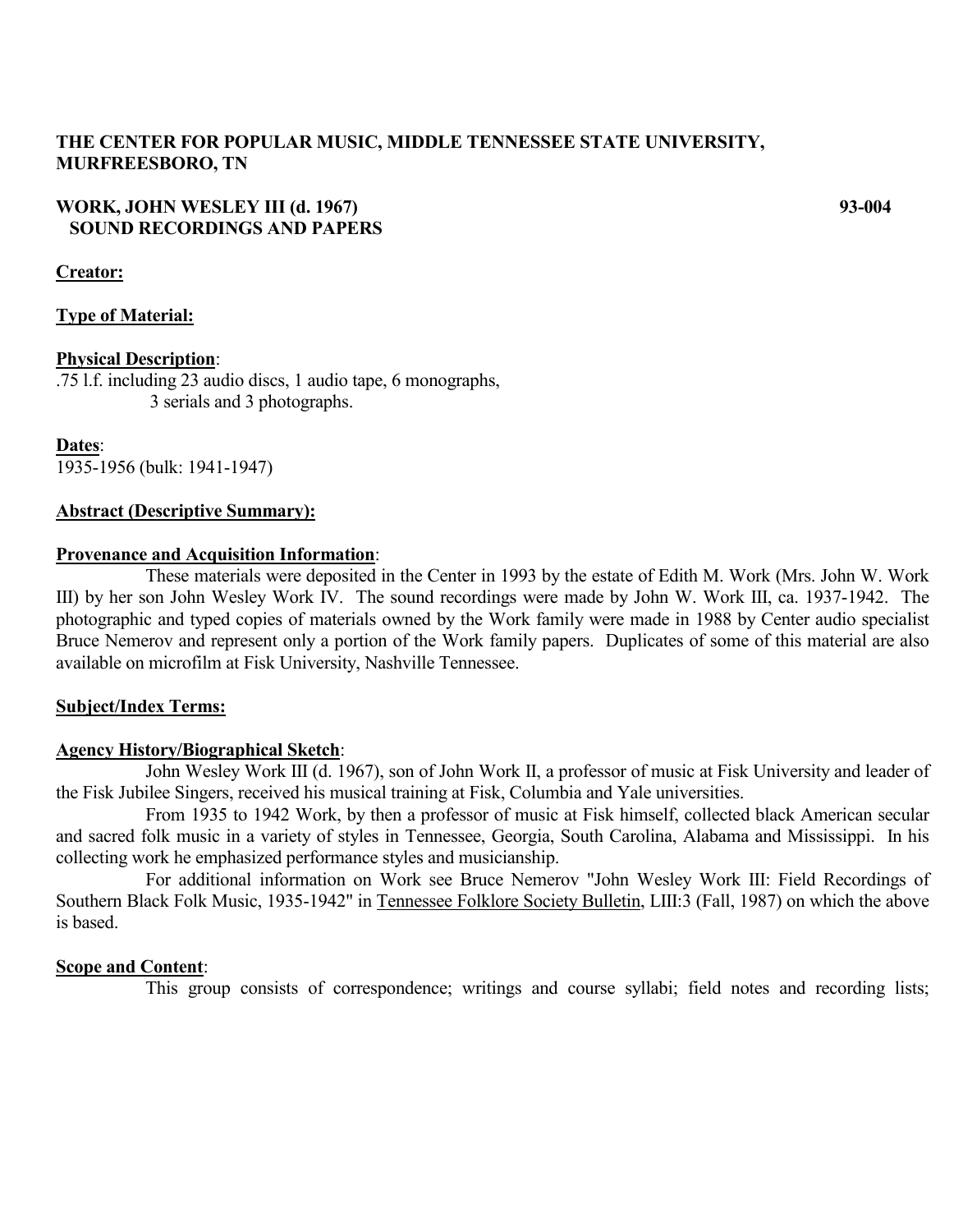# **THE CENTER FOR POPULAR MUSIC, MIDDLE TENNESSEE STATE UNIVERSITY, MURFREESBORO, TN**

# **WORK, JOHN WESLEY III (d. 1967) 93-004 SOUND RECORDINGS AND PAPERS**

# **Creator:**

# **Type of Material:**

# **Physical Description**:

.75 l.f. including 23 audio discs, 1 audio tape, 6 monographs, 3 serials and 3 photographs.

**Dates**: 1935-1956 (bulk: 1941-1947)

#### **Abstract (Descriptive Summary):**

#### **Provenance and Acquisition Information**:

These materials were deposited in the Center in 1993 by the estate of Edith M. Work (Mrs. John W. Work III) by her son John Wesley Work IV. The sound recordings were made by John W. Work III, ca. 1937-1942. The photographic and typed copies of materials owned by the Work family were made in 1988 by Center audio specialist Bruce Nemerov and represent only a portion of the Work family papers. Duplicates of some of this material are also available on microfilm at Fisk University, Nashville Tennessee.

# **Subject/Index Terms:**

# **Agency History/Biographical Sketch**:

John Wesley Work III (d. 1967), son of John Work II, a professor of music at Fisk University and leader of the Fisk Jubilee Singers, received his musical training at Fisk, Columbia and Yale universities.

From 1935 to 1942 Work, by then a professor of music at Fisk himself, collected black American secular and sacred folk music in a variety of styles in Tennessee, Georgia, South Carolina, Alabama and Mississippi. In his collecting work he emphasized performance styles and musicianship.

For additional information on Work see Bruce Nemerov "John Wesley Work III: Field Recordings of Southern Black Folk Music, 1935-1942" in Tennessee Folklore Society Bulletin, LIII:3 (Fall, 1987) on which the above is based.

# **Scope and Content**:

This group consists of correspondence; writings and course syllabi; field notes and recording lists;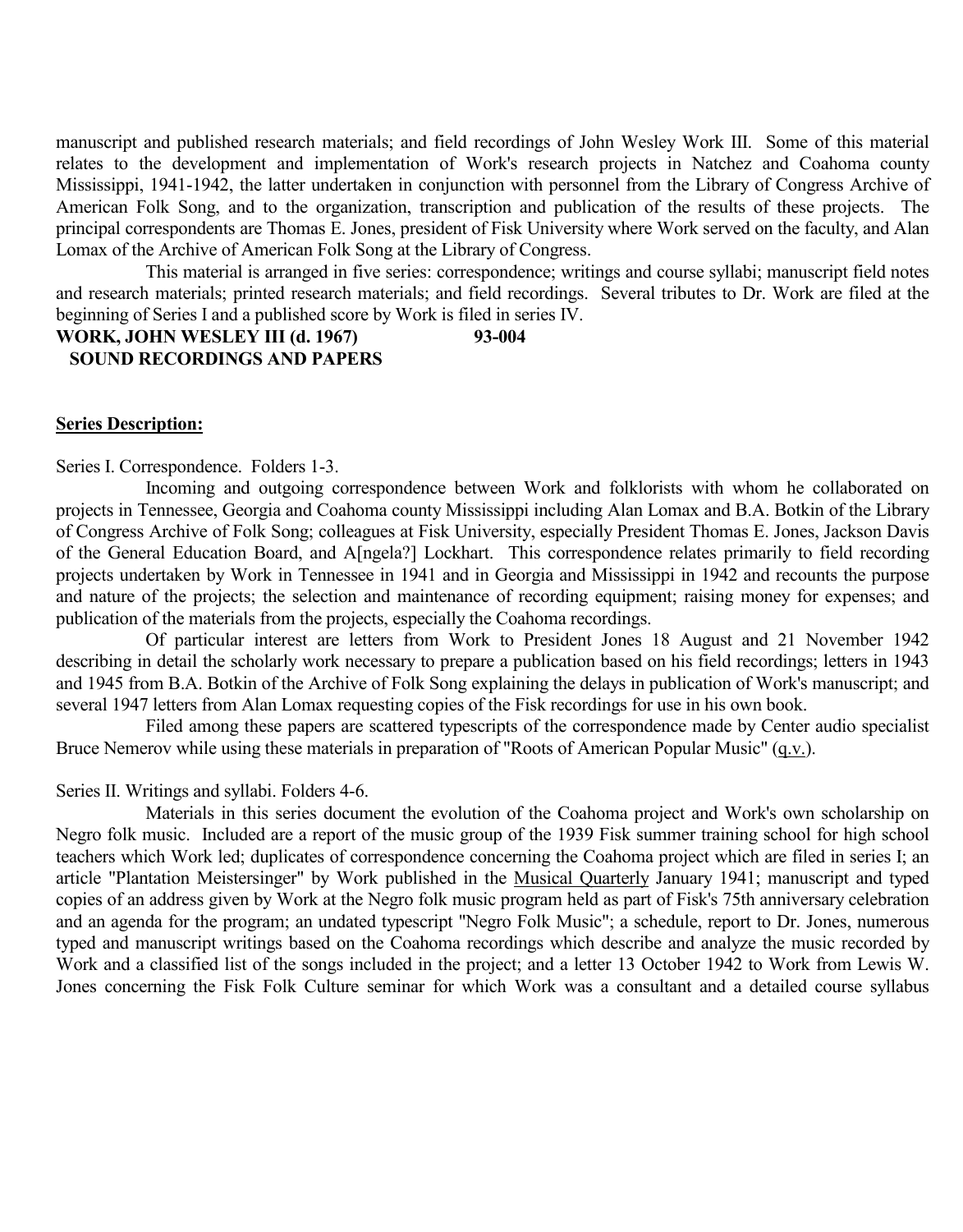manuscript and published research materials; and field recordings of John Wesley Work III. Some of this material relates to the development and implementation of Work's research projects in Natchez and Coahoma county Mississippi, 1941-1942, the latter undertaken in conjunction with personnel from the Library of Congress Archive of American Folk Song, and to the organization, transcription and publication of the results of these projects. The principal correspondents are Thomas E. Jones, president of Fisk University where Work served on the faculty, and Alan Lomax of the Archive of American Folk Song at the Library of Congress.

This material is arranged in five series: correspondence; writings and course syllabi; manuscript field notes and research materials; printed research materials; and field recordings. Several tributes to Dr. Work are filed at the beginning of Series I and a published score by Work is filed in series IV.

# **WORK, JOHN WESLEY III (d. 1967) 93-004 SOUND RECORDINGS AND PAPERS**

#### **Series Description:**

Series I. Correspondence. Folders 1-3.

Incoming and outgoing correspondence between Work and folklorists with whom he collaborated on projects in Tennessee, Georgia and Coahoma county Mississippi including Alan Lomax and B.A. Botkin of the Library of Congress Archive of Folk Song; colleagues at Fisk University, especially President Thomas E. Jones, Jackson Davis of the General Education Board, and A[ngela?] Lockhart. This correspondence relates primarily to field recording projects undertaken by Work in Tennessee in 1941 and in Georgia and Mississippi in 1942 and recounts the purpose and nature of the projects; the selection and maintenance of recording equipment; raising money for expenses; and publication of the materials from the projects, especially the Coahoma recordings.

Of particular interest are letters from Work to President Jones 18 August and 21 November 1942 describing in detail the scholarly work necessary to prepare a publication based on his field recordings; letters in 1943 and 1945 from B.A. Botkin of the Archive of Folk Song explaining the delays in publication of Work's manuscript; and several 1947 letters from Alan Lomax requesting copies of the Fisk recordings for use in his own book.

Filed among these papers are scattered typescripts of the correspondence made by Center audio specialist Bruce Nemerov while using these materials in preparation of "Roots of American Popular Music" (q.v.).

Series II. Writings and syllabi. Folders 4-6.

Materials in this series document the evolution of the Coahoma project and Work's own scholarship on Negro folk music. Included are a report of the music group of the 1939 Fisk summer training school for high school teachers which Work led; duplicates of correspondence concerning the Coahoma project which are filed in series I; an article "Plantation Meistersinger" by Work published in the Musical Quarterly January 1941; manuscript and typed copies of an address given by Work at the Negro folk music program held as part of Fisk's 75th anniversary celebration and an agenda for the program; an undated typescript "Negro Folk Music"; a schedule, report to Dr. Jones, numerous typed and manuscript writings based on the Coahoma recordings which describe and analyze the music recorded by Work and a classified list of the songs included in the project; and a letter 13 October 1942 to Work from Lewis W. Jones concerning the Fisk Folk Culture seminar for which Work was a consultant and a detailed course syllabus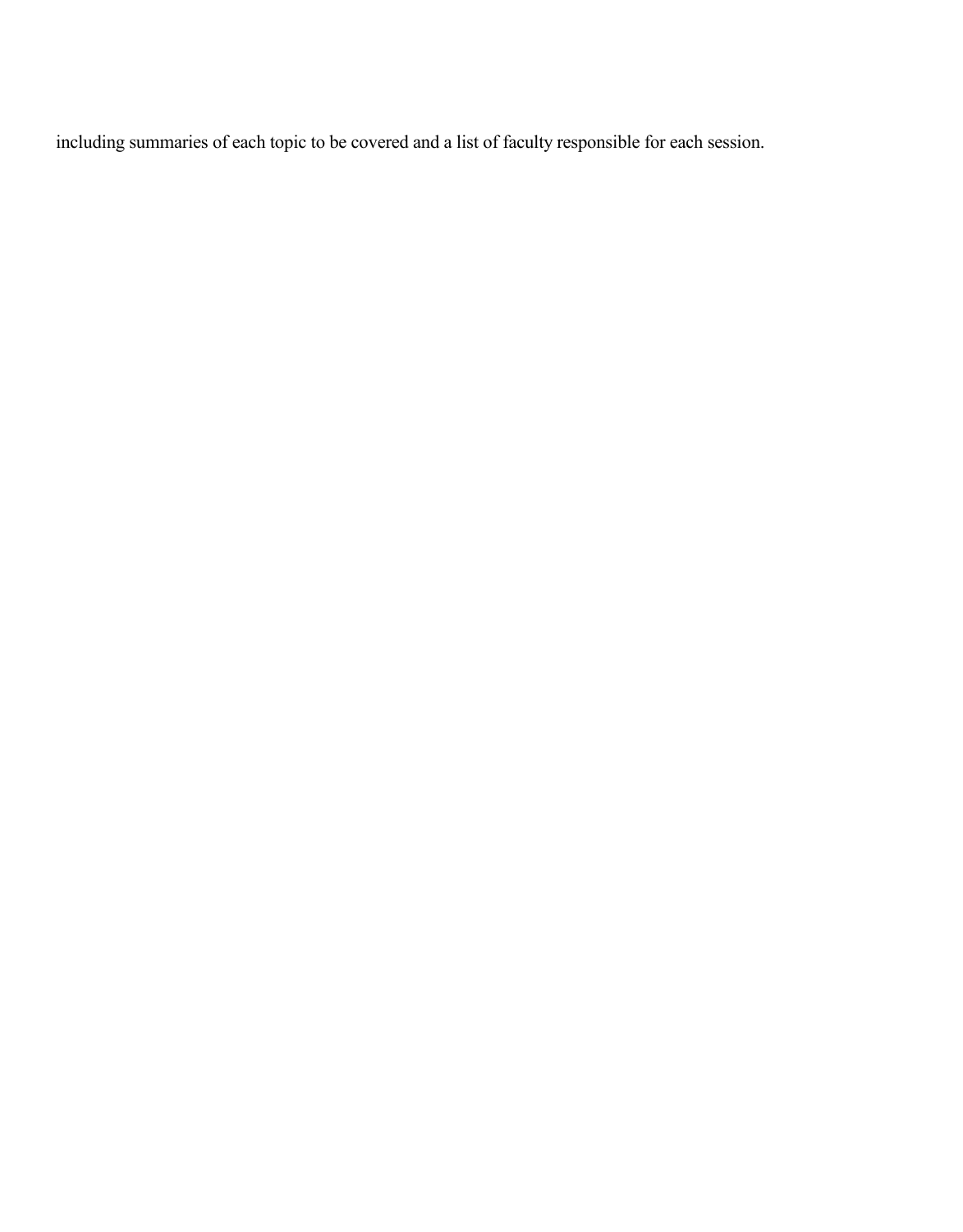including summaries of each topic to be covered and a list of faculty responsible for each session.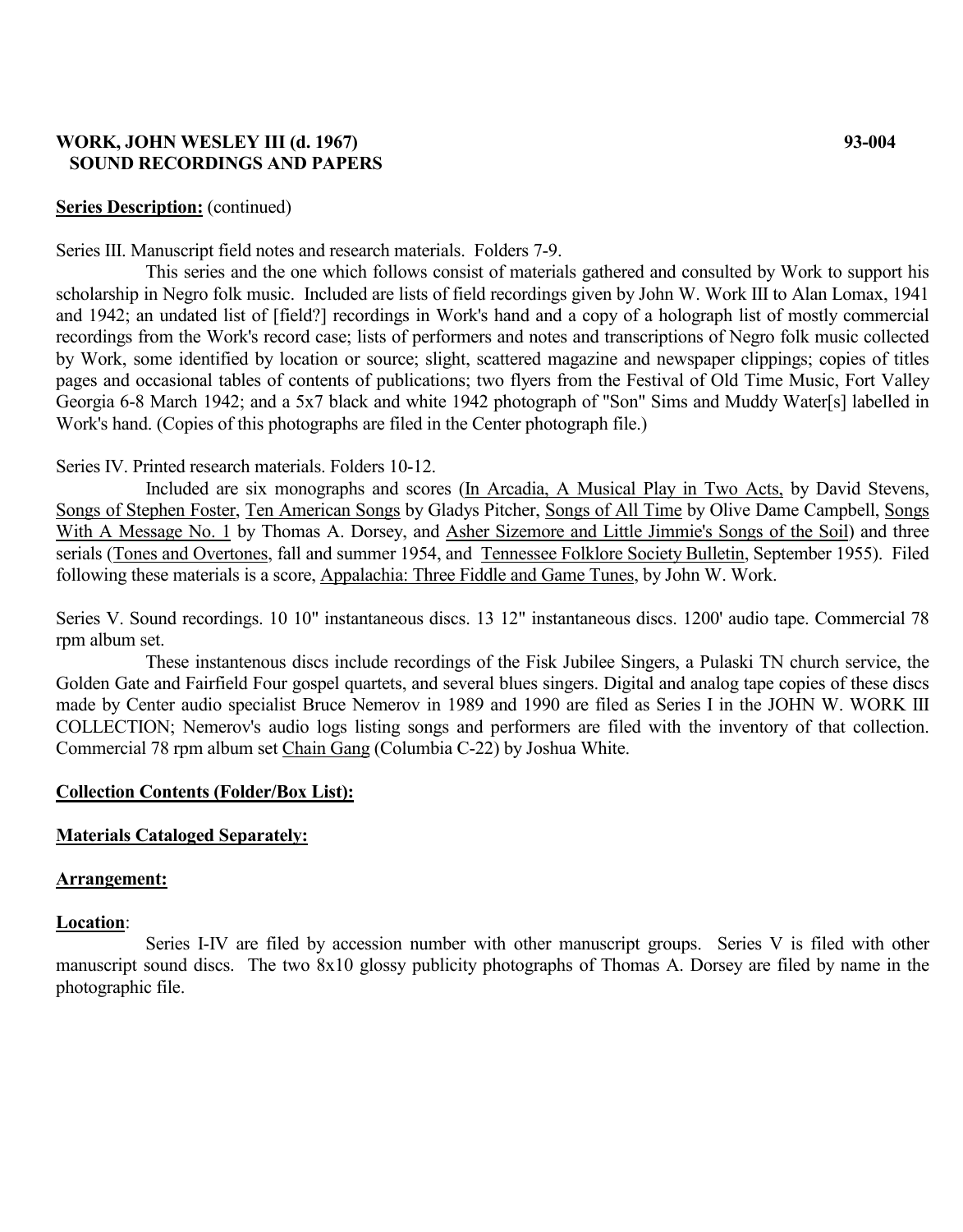# **WORK, JOHN WESLEY III (d. 1967) 93-004 SOUND RECORDINGS AND PAPERS**

# **Series Description:** (continued)

Series III. Manuscript field notes and research materials. Folders 7-9.

This series and the one which follows consist of materials gathered and consulted by Work to support his scholarship in Negro folk music. Included are lists of field recordings given by John W. Work III to Alan Lomax, 1941 and 1942; an undated list of [field?] recordings in Work's hand and a copy of a holograph list of mostly commercial recordings from the Work's record case; lists of performers and notes and transcriptions of Negro folk music collected by Work, some identified by location or source; slight, scattered magazine and newspaper clippings; copies of titles pages and occasional tables of contents of publications; two flyers from the Festival of Old Time Music, Fort Valley Georgia 6-8 March 1942; and a 5x7 black and white 1942 photograph of "Son" Sims and Muddy Water[s] labelled in Work's hand. (Copies of this photographs are filed in the Center photograph file.)

# Series IV. Printed research materials. Folders 10-12.

Included are six monographs and scores (In Arcadia, A Musical Play in Two Acts, by David Stevens, Songs of Stephen Foster, Ten American Songs by Gladys Pitcher, Songs of All Time by Olive Dame Campbell, Songs With A Message No. 1 by Thomas A. Dorsey, and Asher Sizemore and Little Jimmie's Songs of the Soil) and three serials (Tones and Overtones, fall and summer 1954, and Tennessee Folklore Society Bulletin, September 1955). Filed following these materials is a score, Appalachia: Three Fiddle and Game Tunes, by John W. Work.

Series V. Sound recordings. 10 10" instantaneous discs. 13 12" instantaneous discs. 1200' audio tape. Commercial 78 rpm album set.

These instantenous discs include recordings of the Fisk Jubilee Singers, a Pulaski TN church service, the Golden Gate and Fairfield Four gospel quartets, and several blues singers. Digital and analog tape copies of these discs made by Center audio specialist Bruce Nemerov in 1989 and 1990 are filed as Series I in the JOHN W. WORK III COLLECTION; Nemerov's audio logs listing songs and performers are filed with the inventory of that collection. Commercial 78 rpm album set Chain Gang (Columbia C-22) by Joshua White.

# **Collection Contents (Folder/Box List):**

# **Materials Cataloged Separately:**

# **Arrangement:**

# **Location**:

Series I-IV are filed by accession number with other manuscript groups. Series V is filed with other manuscript sound discs. The two 8x10 glossy publicity photographs of Thomas A. Dorsey are filed by name in the photographic file.